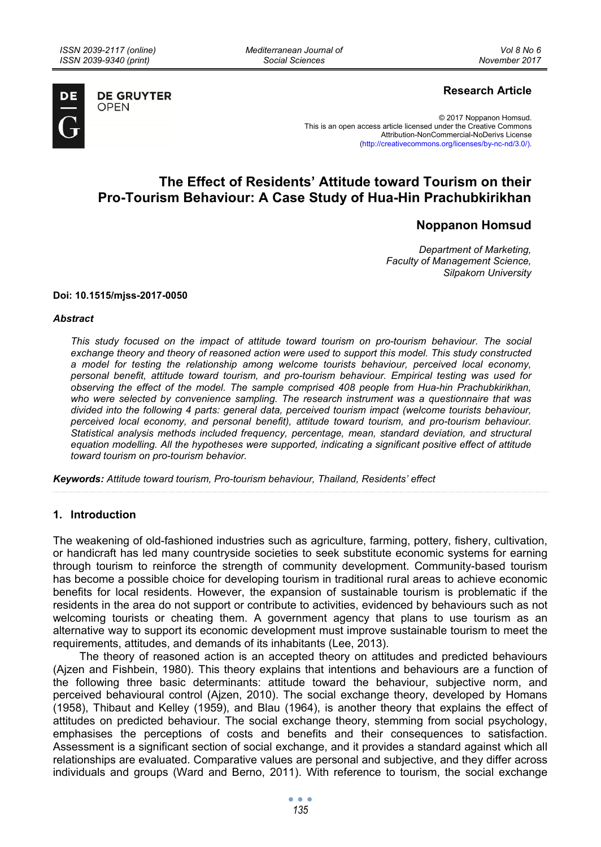*Mediterranean Journal of Social Sciences* 



**DE GRUYTER OPEN** 

## **Research Article**

© 2017 Noppanon Homsud. This is an open access article licensed under the Creative Commons Attribution-NonCommercial-NoDerivs License (http://creativecommons.org/licenses/by-nc-nd/3.0/).

# **The Effect of Residents' Attitude toward Tourism on their Pro-Tourism Behaviour: A Case Study of Hua-Hin Prachubkirikhan**

## **Noppanon Homsud**

*Department of Marketing, Faculty of Management Science, Silpakorn University* 

#### **Doi: 10.1515/mjss-2017-0050**

#### *Abstract*

*This study focused on the impact of attitude toward tourism on pro-tourism behaviour. The social exchange theory and theory of reasoned action were used to support this model. This study constructed a model for testing the relationship among welcome tourists behaviour, perceived local economy, personal benefit, attitude toward tourism, and pro-tourism behaviour. Empirical testing was used for observing the effect of the model. The sample comprised 408 people from Hua-hin Prachubkirikhan, who were selected by convenience sampling. The research instrument was a questionnaire that was divided into the following 4 parts: general data, perceived tourism impact (welcome tourists behaviour, perceived local economy, and personal benefit), attitude toward tourism, and pro-tourism behaviour. Statistical analysis methods included frequency, percentage, mean, standard deviation, and structural equation modelling. All the hypotheses were supported, indicating a significant positive effect of attitude toward tourism on pro-tourism behavior.* 

*Keywords: Attitude toward tourism, Pro-tourism behaviour, Thailand, Residents' effect* 

### **1. Introduction**

The weakening of old-fashioned industries such as agriculture, farming, pottery, fishery, cultivation, or handicraft has led many countryside societies to seek substitute economic systems for earning through tourism to reinforce the strength of community development. Community-based tourism has become a possible choice for developing tourism in traditional rural areas to achieve economic benefits for local residents. However, the expansion of sustainable tourism is problematic if the residents in the area do not support or contribute to activities, evidenced by behaviours such as not welcoming tourists or cheating them. A government agency that plans to use tourism as an alternative way to support its economic development must improve sustainable tourism to meet the requirements, attitudes, and demands of its inhabitants (Lee, 2013).

The theory of reasoned action is an accepted theory on attitudes and predicted behaviours (Ajzen and Fishbein, 1980). This theory explains that intentions and behaviours are a function of the following three basic determinants: attitude toward the behaviour, subjective norm, and perceived behavioural control (Ajzen, 2010). The social exchange theory, developed by Homans (1958), Thibaut and Kelley (1959), and Blau (1964), is another theory that explains the effect of attitudes on predicted behaviour. The social exchange theory, stemming from social psychology, emphasises the perceptions of costs and benefits and their consequences to satisfaction. Assessment is a significant section of social exchange, and it provides a standard against which all relationships are evaluated. Comparative values are personal and subjective, and they differ across individuals and groups (Ward and Berno, 2011). With reference to tourism, the social exchange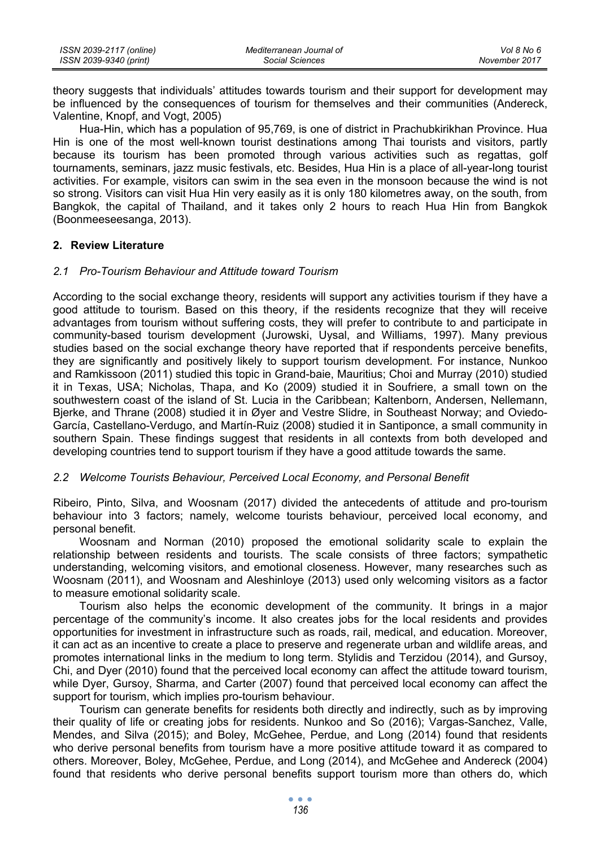| ISSN 2039-2117 (online) | Mediterranean Journal of | Vol 8 No 6    |
|-------------------------|--------------------------|---------------|
| ISSN 2039-9340 (print)  | Social Sciences          | November 2017 |

theory suggests that individuals' attitudes towards tourism and their support for development may be influenced by the consequences of tourism for themselves and their communities (Andereck, Valentine, Knopf, and Vogt, 2005)

Hua-Hin, which has a population of 95,769, is one of district in Prachubkirikhan Province. Hua Hin is one of the most well-known tourist destinations among Thai tourists and visitors, partly because its tourism has been promoted through various activities such as regattas, golf tournaments, seminars, jazz music festivals, etc. Besides, Hua Hin is a place of all-year-long tourist activities. For example, visitors can swim in the sea even in the monsoon because the wind is not so strong. Visitors can visit Hua Hin very easily as it is only 180 kilometres away, on the south, from Bangkok, the capital of Thailand, and it takes only 2 hours to reach Hua Hin from Bangkok (Boonmeeseesanga, 2013).

#### **2. Review Literature**

#### *2.1 Pro-Tourism Behaviour and Attitude toward Tourism*

According to the social exchange theory, residents will support any activities tourism if they have a good attitude to tourism. Based on this theory, if the residents recognize that they will receive advantages from tourism without suffering costs, they will prefer to contribute to and participate in community-based tourism development (Jurowski, Uysal, and Williams, 1997). Many previous studies based on the social exchange theory have reported that if respondents perceive benefits, they are significantly and positively likely to support tourism development. For instance, Nunkoo and Ramkissoon (2011) studied this topic in Grand-baie, Mauritius; Choi and Murray (2010) studied it in Texas, USA; Nicholas, Thapa, and Ko (2009) studied it in Soufriere, a small town on the southwestern coast of the island of St. Lucia in the Caribbean; Kaltenborn, Andersen, Nellemann, Bjerke, and Thrane (2008) studied it in Øyer and Vestre Slidre, in Southeast Norway; and Oviedo-García, Castellano-Verdugo, and Martín-Ruiz (2008) studied it in Santiponce, a small community in southern Spain. These findings suggest that residents in all contexts from both developed and developing countries tend to support tourism if they have a good attitude towards the same.

### 2.2 Welcome Tourists Behaviour, Perceived Local Economy, and Personal Benefit

Ribeiro, Pinto, Silva, and Woosnam (2017) divided the antecedents of attitude and pro-tourism behaviour into 3 factors; namely, welcome tourists behaviour, perceived local economy, and personal benefit.

Woosnam and Norman (2010) proposed the emotional solidarity scale to explain the relationship between residents and tourists. The scale consists of three factors; sympathetic understanding, welcoming visitors, and emotional closeness. However, many researches such as Woosnam (2011), and Woosnam and Aleshinloye (2013) used only welcoming visitors as a factor to measure emotional solidarity scale.

Tourism also helps the economic development of the community. It brings in a major percentage of the community's income. It also creates jobs for the local residents and provides opportunities for investment in infrastructure such as roads, rail, medical, and education. Moreover, it can act as an incentive to create a place to preserve and regenerate urban and wildlife areas, and promotes international links in the medium to long term. Stylidis and Terzidou (2014), and Gursoy, Chi, and Dyer (2010) found that the perceived local economy can affect the attitude toward tourism, while Dyer, Gursoy, Sharma, and Carter (2007) found that perceived local economy can affect the support for tourism, which implies pro-tourism behaviour.

Tourism can generate benefits for residents both directly and indirectly, such as by improving their quality of life or creating jobs for residents. Nunkoo and So (2016); Vargas-Sanchez, Valle, Mendes, and Silva (2015); and Boley, McGehee, Perdue, and Long (2014) found that residents who derive personal benefits from tourism have a more positive attitude toward it as compared to others. Moreover, Boley, McGehee, Perdue, and Long (2014), and McGehee and Andereck (2004) found that residents who derive personal benefits support tourism more than others do, which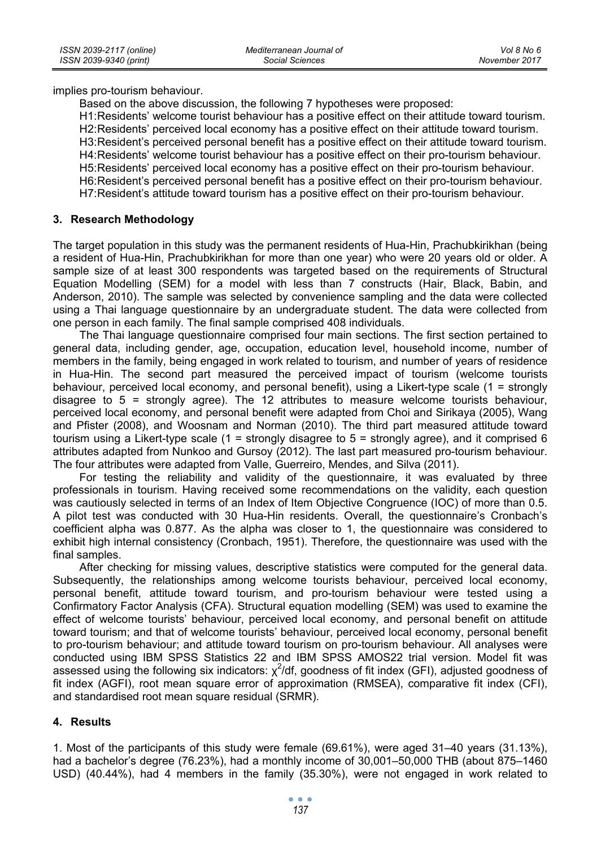implies pro-tourism behaviour.

Based on the above discussion, the following 7 hypotheses were proposed:

H1: Residents' welcome tourist behaviour has a positive effect on their attitude toward tourism. H2: Residents' perceived local economy has a positive effect on their attitude toward tourism. H3: Resident's perceived personal benefit has a positive effect on their attitude toward tourism. H4: Residents' welcome tourist behaviour has a positive effect on their pro-tourism behaviour. H5: Residents' perceived local economy has a positive effect on their pro-tourism behaviour. H6: Resident's perceived personal benefit has a positive effect on their pro-tourism behaviour. H7: Resident's attitude toward tourism has a positive effect on their pro-tourism behaviour.

### **3. Research Methodology**

The target population in this study was the permanent residents of Hua-Hin, Prachubkirikhan (being a resident of Hua-Hin, Prachubkirikhan for more than one year) who were 20 years old or older. A sample size of at least 300 respondents was targeted based on the requirements of Structural Equation Modelling (SEM) for a model with less than 7 constructs (Hair, Black, Babin, and Anderson, 2010). The sample was selected by convenience sampling and the data were collected using a Thai language questionnaire by an undergraduate student. The data were collected from one person in each family. The final sample comprised 408 individuals.

The Thai language questionnaire comprised four main sections. The first section pertained to general data, including gender, age, occupation, education level, household income, number of members in the family, being engaged in work related to tourism, and number of years of residence in Hua-Hin. The second part measured the perceived impact of tourism (welcome tourists behaviour, perceived local economy, and personal benefit), using a Likert-type scale (1 = strongly disagree to 5 = strongly agree). The 12 attributes to measure welcome tourists behaviour, perceived local economy, and personal benefit were adapted from Choi and Sirikaya (2005), Wang and Pfister (2008), and Woosnam and Norman (2010). The third part measured attitude toward tourism using a Likert-type scale (1 = strongly disagree to  $5$  = strongly agree), and it comprised 6 attributes adapted from Nunkoo and Gursoy (2012). The last part measured pro-tourism behaviour. The four attributes were adapted from Valle, Guerreiro, Mendes, and Silva (2011).

For testing the reliability and validity of the questionnaire, it was evaluated by three professionals in tourism. Having received some recommendations on the validity, each question was cautiously selected in terms of an Index of Item Objective Congruence (IOC) of more than 0.5. A pilot test was conducted with 30 Hua-Hin residents. Overall, the questionnaire's Cronbach's coefficient alpha was 0.877. As the alpha was closer to 1, the questionnaire was considered to exhibit high internal consistency (Cronbach, 1951). Therefore, the questionnaire was used with the final samples.

After checking for missing values, descriptive statistics were computed for the general data. Subsequently, the relationships among welcome tourists behaviour, perceived local economy, personal benefit, attitude toward tourism, and pro-tourism behaviour were tested using a Confirmatory Factor Analysis (CFA). Structural equation modelling (SEM) was used to examine the effect of welcome tourists' behaviour, perceived local economy, and personal benefit on attitude toward tourism; and that of welcome tourists' behaviour, perceived local economy, personal benefit to pro-tourism behaviour; and attitude toward tourism on pro-tourism behaviour. All analyses were conducted using IBM SPSS Statistics 22 and IBM SPSS AMOS22 trial version. Model fit was assessed using the following six indicators:  $\chi^2$ /df, goodness of fit index (GFI), adjusted goodness of fit index (AGFI), root mean square error of approximation (RMSEA), comparative fit index (CFI), and standardised root mean square residual (SRMR).

## **4. Results**

1. Most of the participants of this study were female (69.61%), were aged 31–40 years (31.13%), had a bachelor's degree (76.23%), had a monthly income of 30,001–50,000 THB (about 875–1460 USD) (40.44%), had 4 members in the family (35.30%), were not engaged in work related to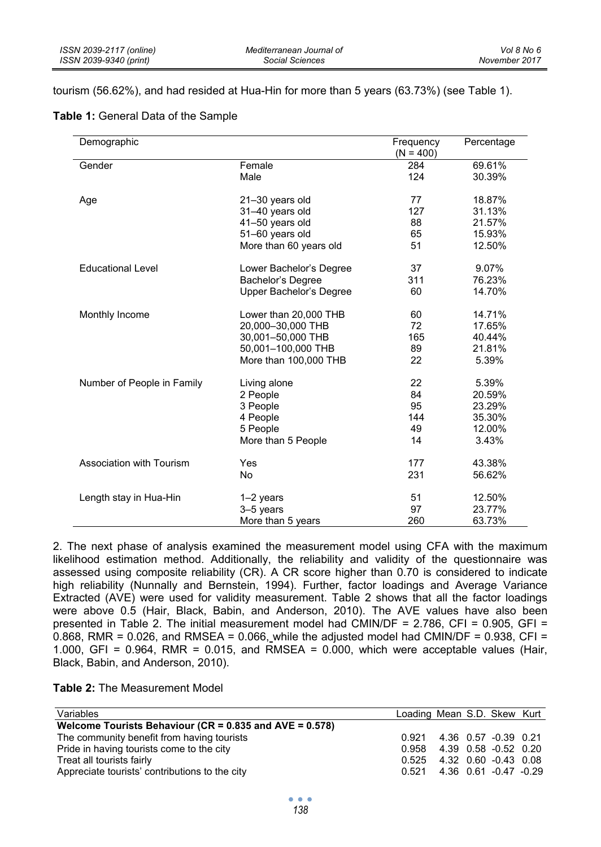tourism (56.62%), and had resided at Hua-Hin for more than 5 years (63.73%) (see Table 1).

| Demographic                |                         | Frequency   | Percentage |
|----------------------------|-------------------------|-------------|------------|
|                            |                         | $(N = 400)$ |            |
| Gender                     | Female                  | 284         | 69.61%     |
|                            | Male                    | 124         | 30.39%     |
| Age                        | 21-30 years old         | 77          | 18.87%     |
|                            | 31-40 years old         | 127         | 31.13%     |
|                            | 41-50 years old         | 88          | 21.57%     |
|                            | 51-60 years old         | 65          | 15.93%     |
|                            | More than 60 years old  | 51          | 12.50%     |
|                            |                         |             |            |
| <b>Educational Level</b>   | Lower Bachelor's Degree | 37          | 9.07%      |
|                            | Bachelor's Degree       | 311         | 76.23%     |
|                            | Upper Bachelor's Degree | 60          | 14.70%     |
|                            |                         |             |            |
| Monthly Income             | Lower than 20,000 THB   | 60          | 14.71%     |
|                            | 20,000-30,000 THB       | 72          | 17.65%     |
|                            | 30,001-50,000 THB       | 165         | 40.44%     |
|                            | 50,001-100,000 THB      | 89          | 21.81%     |
|                            | More than 100,000 THB   | 22          | 5.39%      |
| Number of People in Family | Living alone            | 22          | 5.39%      |
|                            | 2 People                | 84          | 20.59%     |
|                            | 3 People                | 95          | 23.29%     |
|                            | 4 People                | 144         | 35.30%     |
|                            | 5 People                | 49          | 12.00%     |
|                            | More than 5 People      | 14          | 3.43%      |
| Association with Tourism   | Yes                     | 177         | 43.38%     |
|                            | No                      | 231         | 56.62%     |
|                            |                         |             |            |
| Length stay in Hua-Hin     | $1-2$ years             | 51          | 12.50%     |
|                            | 3-5 years               | 97          | 23.77%     |
|                            | More than 5 years       | 260         | 63.73%     |

2. The next phase of analysis examined the measurement model using CFA with the maximum likelihood estimation method. Additionally, the reliability and validity of the questionnaire was assessed using composite reliability (CR). A CR score higher than 0.70 is considered to indicate high reliability (Nunnally and Bernstein, 1994). Further, factor loadings and Average Variance Extracted (AVE) were used for validity measurement. Table 2 shows that all the factor loadings were above 0.5 (Hair, Black, Babin, and Anderson, 2010). The AVE values have also been presented in Table 2. The initial measurement model had CMIN/DF =  $2.786$ , CFI =  $0.905$ , GFI = 0.868, RMR =  $0.026$ , and RMSEA =  $0.066$ , while the adjusted model had CMIN/DF =  $0.938$ , CFI = 1.000, GFI =  $0.964$ , RMR =  $0.015$ , and RMSEA =  $0.000$ , which were acceptable values (Hair, Black, Babin, and Anderson, 2010).

| <b>Table 2:</b> The Measurement Model |
|---------------------------------------|
|---------------------------------------|

| Variables                                                     | Loading Mean S.D. Skew Kurt   |  |  |
|---------------------------------------------------------------|-------------------------------|--|--|
| Welcome Tourists Behaviour ( $CR = 0.835$ and $AVE = 0.578$ ) |                               |  |  |
| The community benefit from having tourists                    | 0.921 4.36 0.57 -0.39 0.21    |  |  |
| Pride in having tourists come to the city                     | 0.958 4.39 0.58 -0.52 0.20    |  |  |
| Treat all tourists fairly                                     | $0.525$ 4.32 0.60 -0.43 0.08  |  |  |
| Appreciate tourists' contributions to the city                | $0.521$ 4.36 0.61 -0.47 -0.29 |  |  |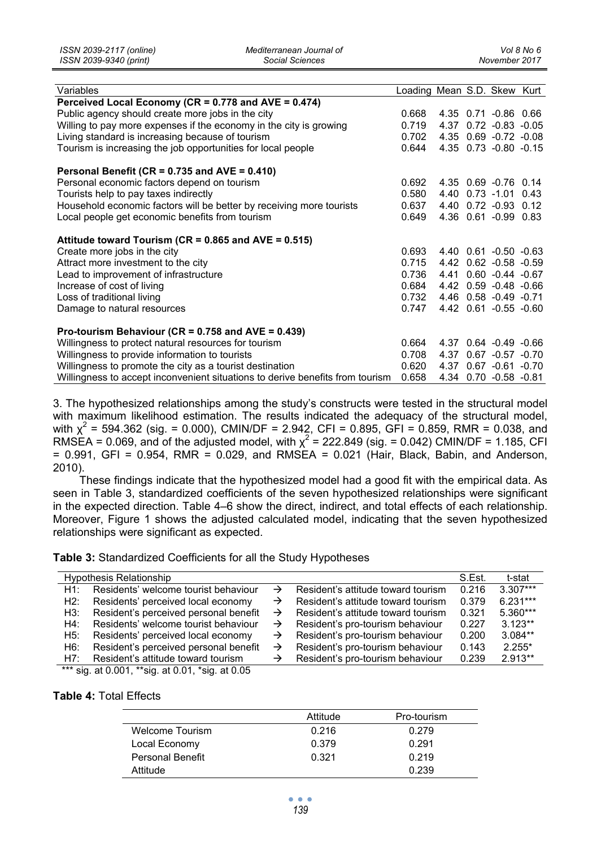| Variables                                                                     | Loading Mean S.D. Skew Kurt |  |                       |  |
|-------------------------------------------------------------------------------|-----------------------------|--|-----------------------|--|
| Perceived Local Economy (CR = $0.778$ and AVE = $0.474$ )                     |                             |  |                       |  |
| Public agency should create more jobs in the city                             | 0.668                       |  | 4.35 0.71 -0.86 0.66  |  |
| Willing to pay more expenses if the economy in the city is growing            | 0.719                       |  | 4.37 0.72 -0.83 -0.05 |  |
| Living standard is increasing because of tourism                              | 0.702                       |  | 4.35 0.69 -0.72 -0.08 |  |
| Tourism is increasing the job opportunities for local people                  | 0.644                       |  | 4.35 0.73 -0.80 -0.15 |  |
| Personal Benefit (CR = $0.735$ and AVE = $0.410$ )                            |                             |  |                       |  |
| Personal economic factors depend on tourism                                   | 0.692                       |  | 4.35 0.69 -0.76 0.14  |  |
| Tourists help to pay taxes indirectly                                         | 0.580                       |  | 4.40 0.73 -1.01 0.43  |  |
| Household economic factors will be better by receiving more tourists          | 0.637                       |  | 4.40 0.72 -0.93 0.12  |  |
| Local people get economic benefits from tourism                               | 0.649                       |  | 4.36 0.61 -0.99 0.83  |  |
| Attitude toward Tourism ( $CR = 0.865$ and $AVE = 0.515$ )                    |                             |  |                       |  |
| Create more jobs in the city                                                  | 0.693                       |  | 4.40 0.61 -0.50 -0.63 |  |
| Attract more investment to the city                                           | 0.715                       |  | 4.42 0.62 -0.58 -0.59 |  |
| Lead to improvement of infrastructure                                         | 0.736                       |  | 4.41 0.60 -0.44 -0.67 |  |
| Increase of cost of living                                                    | 0.684                       |  | 4.42 0.59 -0.48 -0.66 |  |
| Loss of traditional living                                                    | 0.732                       |  | 4.46 0.58 -0.49 -0.71 |  |
| Damage to natural resources                                                   | 0.747                       |  | 4.42 0.61 -0.55 -0.60 |  |
| Pro-tourism Behaviour (CR = $0.758$ and AVE = $0.439$ )                       |                             |  |                       |  |
| Willingness to protect natural resources for tourism                          | 0.664                       |  | 4.37 0.64 -0.49 -0.66 |  |
| Willingness to provide information to tourists                                | 0.708                       |  | 4.37 0.67 -0.57 -0.70 |  |
| Willingness to promote the city as a tourist destination                      | 0.620                       |  | 4.37 0.67 -0.61 -0.70 |  |
| Willingness to accept inconvenient situations to derive benefits from tourism | 0.658                       |  | 4.34 0.70 -0.58 -0.81 |  |

3. The hypothesized relationships among the study's constructs were tested in the structural model with maximum likelihood estimation. The results indicated the adequacy of the structural model, with  $\chi^2$  = 594.362 (sig. = 0.000), CMIN/DF = 2.942, CFI = 0.895, GFI = 0.859, RMR = 0.038, and RMSEA = 0.069, and of the adjusted model, with  $\chi^2$  = 222.849 (sig. = 0.042) CMIN/DF = 1.185, CFI  $= 0.991$ , GFI = 0.954, RMR = 0.029, and RMSEA = 0.021 (Hair, Black, Babin, and Anderson, 2010).

These findings indicate that the hypothesized model had a good fit with the empirical data. As seen in Table 3, standardized coefficients of the seven hypothesized relationships were significant in the expected direction. Table 4–6 show the direct, indirect, and total effects of each relationship. Moreover, Figure 1 shows the adjusted calculated model, indicating that the seven hypothesized relationships were significant as expected.

**Table 3:** Standardized Coefficients for all the Study Hypotheses

|     | <b>Hypothesis Relationship</b>        |               |                                    | S.Est. | t-stat     |
|-----|---------------------------------------|---------------|------------------------------------|--------|------------|
| H1. | Residents' welcome tourist behaviour  |               | Resident's attitude toward tourism | 0.216  | $3.307***$ |
| H2: | Residents' perceived local economy    |               | Resident's attitude toward tourism | 0.379  | $6.231***$ |
| H3: | Resident's perceived personal benefit | $\rightarrow$ | Resident's attitude toward tourism | 0.321  | $5.360***$ |
| H4: | Residents' welcome tourist behaviour  | $\rightarrow$ | Resident's pro-tourism behaviour   | 0.227  | $3.123**$  |
| H5: | Residents' perceived local economy    | $\rightarrow$ | Resident's pro-tourism behaviour   | 0.200  | $3.084**$  |
| H6: | Resident's perceived personal benefit | $\rightarrow$ | Resident's pro-tourism behaviour   | 0.143  | $2.255*$   |
| H7: | Resident's attitude toward tourism    |               | Resident's pro-tourism behaviour   | 0.239  | $2.913**$  |

\*\*\* sig. at 0.001, \*\*sig. at 0.01, \*sig. at 0.05

#### **Table 4:** Total Effects

|                        | Attitude | Pro-tourism |
|------------------------|----------|-------------|
| <b>Welcome Tourism</b> | 0.216    | 0.279       |
| Local Economy          | 0.379    | 0.291       |
| Personal Benefit       | 0.321    | 0.219       |
| Attitude               |          | 0.239       |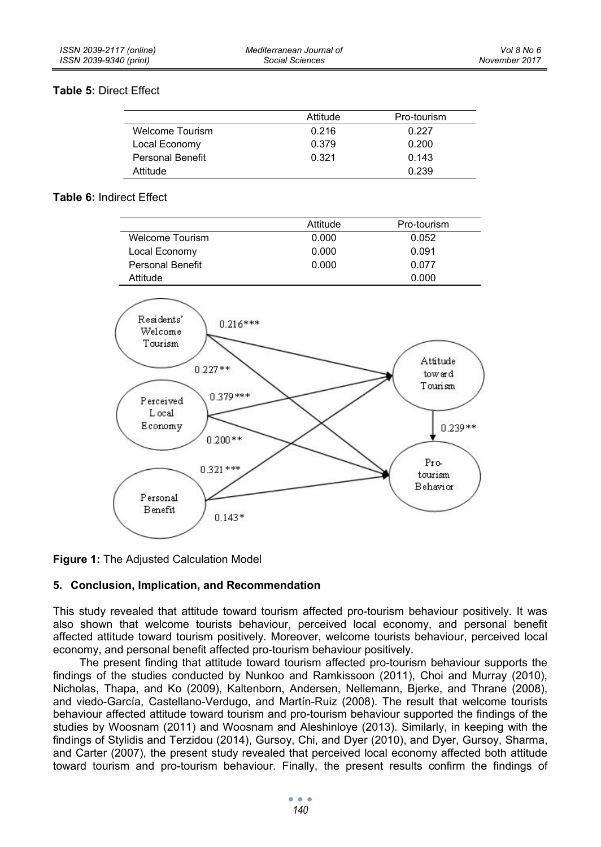### **Table 5:** Direct Effect

|                         | Attitude | Pro-tourism |
|-------------------------|----------|-------------|
| <b>Welcome Tourism</b>  | 0.216    | 0.227       |
| Local Economy           | 0.379    | 0.200       |
| <b>Personal Benefit</b> | 0.321    | 0.143       |
| Attitude                |          | 0.239       |

### **Table 6:** Indirect Effect

|                         | Attitude | Pro-tourism |
|-------------------------|----------|-------------|
| <b>Welcome Tourism</b>  | 0.000    | 0.052       |
| Local Economy           | 0.000    | 0.091       |
| <b>Personal Benefit</b> | 0.000    | 0.077       |
| Attitude                |          | 0.000       |



**Figure 1:** The Adjusted Calculation Model

## **5. Conclusion, Implication, and Recommendation**

This study revealed that attitude toward tourism affected pro-tourism behaviour positively. It was also shown that welcome tourists behaviour, perceived local economy, and personal benefit affected attitude toward tourism positively. Moreover, welcome tourists behaviour, perceived local economy, and personal benefit affected pro-tourism behaviour positively.

The present finding that attitude toward tourism affected pro-tourism behaviour supports the findings of the studies conducted by Nunkoo and Ramkissoon (2011), Choi and Murray (2010), Nicholas, Thapa, and Ko (2009), Kaltenborn, Andersen, Nellemann, Bjerke, and Thrane (2008), and viedo-García, Castellano-Verdugo, and Martín-Ruiz (2008). The result that welcome tourists behaviour affected attitude toward tourism and pro-tourism behaviour supported the findings of the studies by Woosnam (2011) and Woosnam and Aleshinloye (2013). Similarly, in keeping with the findings of Stylidis and Terzidou (2014), Gursoy, Chi, and Dyer (2010), and Dyer, Gursoy, Sharma, and Carter (2007), the present study revealed that perceived local economy affected both attitude toward tourism and pro-tourism behaviour. Finally, the present results confirm the findings of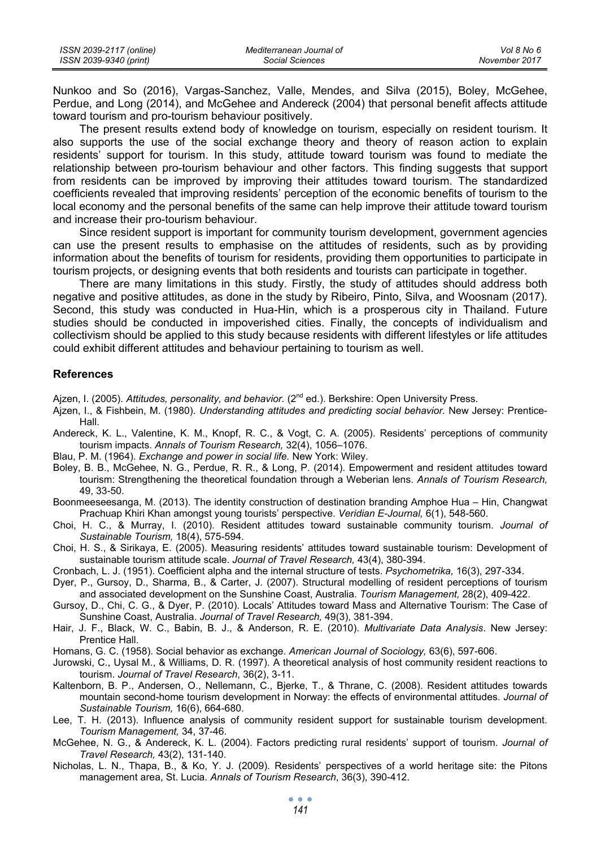| ISSN 2039-2117 (online) | Mediterranean Journal of | Vol 8 No 6    |
|-------------------------|--------------------------|---------------|
| ISSN 2039-9340 (print)  | Social Sciences          | November 2017 |

Nunkoo and So (2016), Vargas-Sanchez, Valle, Mendes, and Silva (2015), Boley, McGehee, Perdue, and Long (2014), and McGehee and Andereck (2004) that personal benefit affects attitude toward tourism and pro-tourism behaviour positively.

The present results extend body of knowledge on tourism, especially on resident tourism. It also supports the use of the social exchange theory and theory of reason action to explain residents' support for tourism. In this study, attitude toward tourism was found to mediate the relationship between pro-tourism behaviour and other factors. This finding suggests that support from residents can be improved by improving their attitudes toward tourism. The standardized coefficients revealed that improving residents' perception of the economic benefits of tourism to the local economy and the personal benefits of the same can help improve their attitude toward tourism and increase their pro-tourism behaviour.

Since resident support is important for community tourism development, government agencies can use the present results to emphasise on the attitudes of residents, such as by providing information about the benefits of tourism for residents, providing them opportunities to participate in tourism projects, or designing events that both residents and tourists can participate in together.

There are many limitations in this study. Firstly, the study of attitudes should address both negative and positive attitudes, as done in the study by Ribeiro, Pinto, Silva, and Woosnam (2017). Second, this study was conducted in Hua-Hin, which is a prosperous city in Thailand. Future studies should be conducted in impoverished cities. Finally, the concepts of individualism and collectivism should be applied to this study because residents with different lifestyles or life attitudes could exhibit different attitudes and behaviour pertaining to tourism as well.

#### **References**

Ajzen, I. (2005). Attitudes, personality, and behavior. (2<sup>nd</sup> ed.). Berkshire: Open University Press.

- Ajzen, I., & Fishbein, M. (1980). *Understanding attitudes and predicting social behavior.* New Jersey: Prentice-Hall.
- Andereck, K. L., Valentine, K. M., Knopf, R. C., & Vogt, C. A. (2005). Residents' perceptions of community tourism impacts. *Annals of Tourism Research,* 32(4), 1056–1076.
- Blau, P. M. (1964). *Exchange and power in social life.* New York: Wiley.
- Boley, B. B., McGehee, N. G., Perdue, R. R., & Long, P. (2014). Empowerment and resident attitudes toward tourism: Strengthening the theoretical foundation through a Weberian lens. *Annals of Tourism Research,* 49, 33-50.
- Boonmeeseesanga, M. (2013). The identity construction of destination branding Amphoe Hua Hin, Changwat Prachuap Khiri Khan amongst young tourists' perspective. *Veridian E-Journal,* 6(1), 548-560.
- Choi, H. C., & Murray, I. (2010). Resident attitudes toward sustainable community tourism. *Journal of Sustainable Tourism,* 18(4), 575-594.
- Choi, H. S., & Sirikaya, E. (2005). Measuring residents' attitudes toward sustainable tourism: Development of sustainable tourism attitude scale. *Journal of Travel Research,* 43(4), 380-394.
- Cronbach, L. J. (1951). Coefficient alpha and the internal structure of tests. *Psychometrika,* 16(3), 297-334.
- Dyer, P., Gursoy, D., Sharma, B., & Carter, J. (2007). Structural modelling of resident perceptions of tourism and associated development on the Sunshine Coast, Australia. *Tourism Management,* 28(2), 409-422.
- Gursoy, D., Chi, C. G., & Dyer, P. (2010). Locals' Attitudes toward Mass and Alternative Tourism: The Case of Sunshine Coast, Australia. *Journal of Travel Research,* 49(3), 381-394.
- Hair, J. F., Black, W. C., Babin, B. J., & Anderson, R. E. (2010). *Multivariate Data Analysis*. New Jersey: Prentice Hall.
- Homans, G. C. (1958). Social behavior as exchange. *American Journal of Sociology,* 63(6), 597-606.
- Jurowski, C., Uysal M., & Williams, D. R. (1997). A theoretical analysis of host community resident reactions to tourism. *Journal of Travel Research*, 36(2), 3-11.
- Kaltenborn, B. P., Andersen, O., Nellemann, C., Bjerke, T., & Thrane, C. (2008). Resident attitudes towards mountain second-home tourism development in Norway: the effects of environmental attitudes. *Journal of Sustainable Tourism,* 16(6), 664-680.
- Lee, T. H. (2013). Influence analysis of community resident support for sustainable tourism development. *Tourism Management,* 34, 37-46.
- McGehee, N. G., & Andereck, K. L. (2004). Factors predicting rural residents' support of tourism. *Journal of Travel Research,* 43(2), 131-140.
- Nicholas, L. N., Thapa, B., & Ko, Y. J. (2009). Residents' perspectives of a world heritage site: the Pitons management area, St. Lucia. *Annals of Tourism Research*, 36(3), 390-412.